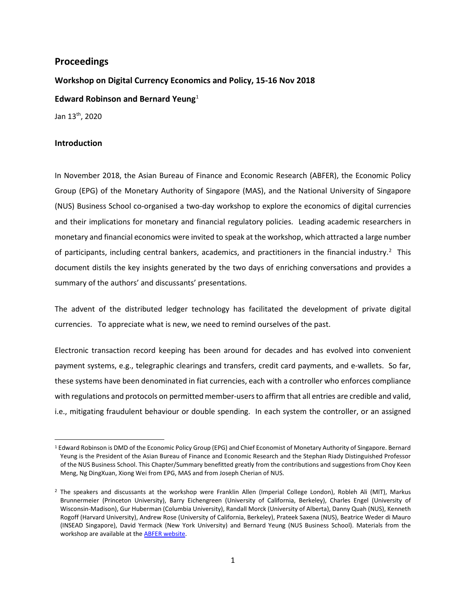## **Proceedings**

# **Workshop on Digital Currency Economics and Policy, 15-16 Nov 2018**

**Edward Robinson and Bernard Yeung**[1](#page-0-0)

Jan 13th, 2020

### **Introduction**

In November 2018, the Asian Bureau of Finance and Economic Research (ABFER), the Economic Policy Group (EPG) of the Monetary Authority of Singapore (MAS), and the National University of Singapore (NUS) Business School co-organised a two-day workshop to explore the economics of digital currencies and their implications for monetary and financial regulatory policies. Leading academic researchers in monetary and financial economics were invited to speak at the workshop, which attracted a large number of participants, including central bankers, academics, and practitioners in the financial industry.<sup>[2](#page-0-1)</sup> This document distils the key insights generated by the two days of enriching conversations and provides a summary of the authors' and discussants' presentations.

The advent of the distributed ledger technology has facilitated the development of private digital currencies. To appreciate what is new, we need to remind ourselves of the past.

Electronic transaction record keeping has been around for decades and has evolved into convenient payment systems, e.g., telegraphic clearings and transfers, credit card payments, and e-wallets. So far, these systems have been denominated in fiat currencies, each with a controller who enforces compliance with regulations and protocols on permitted member-users to affirm that all entries are credible and valid, i.e., mitigating fraudulent behaviour or double spending. In each system the controller, or an assigned

<span id="page-0-0"></span> <sup>1</sup> Edward Robinson is DMD of the Economic Policy Group (EPG) and Chief Economist of Monetary Authority of Singapore. Bernard Yeung is the President of the Asian Bureau of Finance and Economic Research and the Stephan Riady Distinguished Professor of the NUS Business School. This Chapter/Summary benefitted greatly from the contributions and suggestions from Choy Keen Meng, Ng DingXuan, Xiong Wei from EPG, MAS and from Joseph Cherian of NUS.

<span id="page-0-1"></span><sup>&</sup>lt;sup>2</sup> The speakers and discussants at the workshop were Franklin Allen (Imperial College London), Robleh Ali (MIT), Markus Brunnermeier (Princeton University), Barry Eichengreen (University of California, Berkeley), Charles Engel (University of Wisconsin-Madison), Gur Huberman (Columbia University), Randall Morck (University of Alberta), Danny Quah (NUS), Kenneth Rogoff (Harvard University), Andrew Rose (University of California, Berkeley), Prateek Saxena (NUS), Beatrice Weder di Mauro (INSEAD Singapore), David Yermack (New York University) and Bernard Yeung (NUS Business School). Materials from the workshop are available at th[e ABFER website.](http://abfer.org/events/abfer-events/specialty-conference/125:digitalcurrency2018)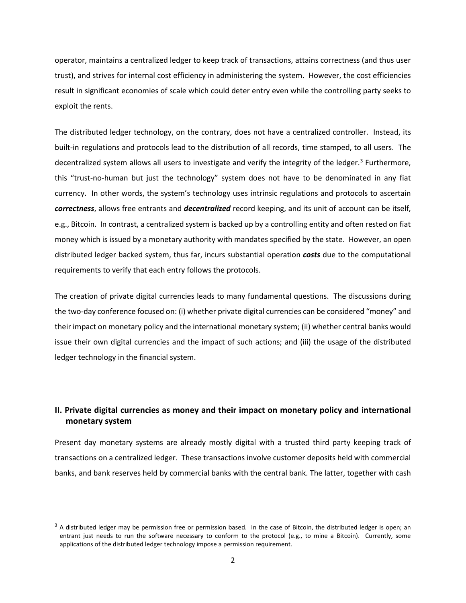operator, maintains a centralized ledger to keep track of transactions, attains correctness (and thus user trust), and strives for internal cost efficiency in administering the system. However, the cost efficiencies result in significant economies of scale which could deter entry even while the controlling party seeks to exploit the rents.

The distributed ledger technology, on the contrary, does not have a centralized controller. Instead, its built-in regulations and protocols lead to the distribution of all records, time stamped, to all users. The decentralized system allows all users to investigate and verify the integrity of the ledger.<sup>[3](#page-1-0)</sup> Furthermore, this "trust-no-human but just the technology" system does not have to be denominated in any fiat currency. In other words, the system's technology uses intrinsic regulations and protocols to ascertain *correctness*, allows free entrants and *decentralized* record keeping, and its unit of account can be itself, e.g., Bitcoin. In contrast, a centralized system is backed up by a controlling entity and often rested on fiat money which is issued by a monetary authority with mandates specified by the state. However, an open distributed ledger backed system, thus far, incurs substantial operation *costs* due to the computational requirements to verify that each entry follows the protocols.

The creation of private digital currencies leads to many fundamental questions. The discussions during the two-day conference focused on: (i) whether private digital currencies can be considered "money" and their impact on monetary policy and the international monetary system; (ii) whether central banks would issue their own digital currencies and the impact of such actions; and (iii) the usage of the distributed ledger technology in the financial system.

## **II. Private digital currencies as money and their impact on monetary policy and international monetary system**

Present day monetary systems are already mostly digital with a trusted third party keeping track of transactions on a centralized ledger. These transactions involve customer deposits held with commercial banks, and bank reserves held by commercial banks with the central bank. The latter, together with cash

<span id="page-1-0"></span> $3$  A distributed ledger may be permission free or permission based. In the case of Bitcoin, the distributed ledger is open; an entrant just needs to run the software necessary to conform to the protocol (e.g., to mine a Bitcoin). Currently, some applications of the distributed ledger technology impose a permission requirement.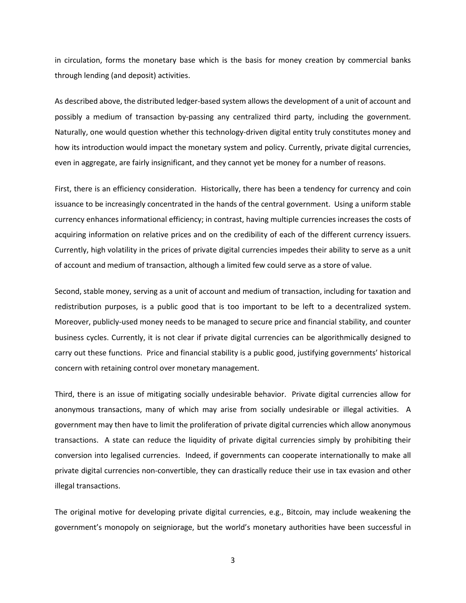in circulation, forms the monetary base which is the basis for money creation by commercial banks through lending (and deposit) activities.

As described above, the distributed ledger-based system allows the development of a unit of account and possibly a medium of transaction by-passing any centralized third party, including the government. Naturally, one would question whether this technology-driven digital entity truly constitutes money and how its introduction would impact the monetary system and policy. Currently, private digital currencies, even in aggregate, are fairly insignificant, and they cannot yet be money for a number of reasons.

First, there is an efficiency consideration. Historically, there has been a tendency for currency and coin issuance to be increasingly concentrated in the hands of the central government. Using a uniform stable currency enhances informational efficiency; in contrast, having multiple currencies increases the costs of acquiring information on relative prices and on the credibility of each of the different currency issuers. Currently, high volatility in the prices of private digital currencies impedes their ability to serve as a unit of account and medium of transaction, although a limited few could serve as a store of value.

Second, stable money, serving as a unit of account and medium of transaction, including for taxation and redistribution purposes, is a public good that is too important to be left to a decentralized system. Moreover, publicly-used money needs to be managed to secure price and financial stability, and counter business cycles. Currently, it is not clear if private digital currencies can be algorithmically designed to carry out these functions. Price and financial stability is a public good, justifying governments' historical concern with retaining control over monetary management.

Third, there is an issue of mitigating socially undesirable behavior. Private digital currencies allow for anonymous transactions, many of which may arise from socially undesirable or illegal activities. A government may then have to limit the proliferation of private digital currencies which allow anonymous transactions. A state can reduce the liquidity of private digital currencies simply by prohibiting their conversion into legalised currencies. Indeed, if governments can cooperate internationally to make all private digital currencies non-convertible, they can drastically reduce their use in tax evasion and other illegal transactions.

The original motive for developing private digital currencies, e.g., Bitcoin, may include weakening the government's monopoly on seigniorage, but the world's monetary authorities have been successful in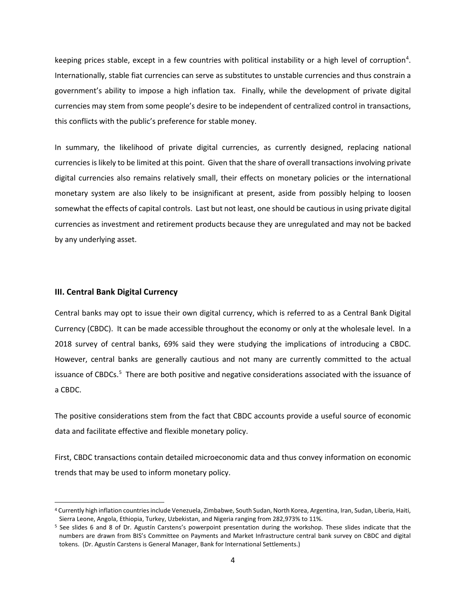keeping prices stable, except in a few countries with political instability or a high level of corruption<sup>[4](#page-3-0)</sup>. Internationally, stable fiat currencies can serve as substitutes to unstable currencies and thus constrain a government's ability to impose a high inflation tax. Finally, while the development of private digital currencies may stem from some people's desire to be independent of centralized control in transactions, this conflicts with the public's preference for stable money.

In summary, the likelihood of private digital currencies, as currently designed, replacing national currencies is likely to be limited at this point. Given that the share of overall transactions involving private digital currencies also remains relatively small, their effects on monetary policies or the international monetary system are also likely to be insignificant at present, aside from possibly helping to loosen somewhat the effects of capital controls. Last but not least, one should be cautious in using private digital currencies as investment and retirement products because they are unregulated and may not be backed by any underlying asset.

#### **III. Central Bank Digital Currency**

Central banks may opt to issue their own digital currency, which is referred to as a Central Bank Digital Currency (CBDC). It can be made accessible throughout the economy or only at the wholesale level. In a 2018 survey of central banks, 69% said they were studying the implications of introducing a CBDC. However, central banks are generally cautious and not many are currently committed to the actual issuance of CBDCs.<sup>[5](#page-3-1)</sup> There are both positive and negative considerations associated with the issuance of a CBDC.

The positive considerations stem from the fact that CBDC accounts provide a useful source of economic data and facilitate effective and flexible monetary policy.

First, CBDC transactions contain detailed microeconomic data and thus convey information on economic trends that may be used to inform monetary policy.

<span id="page-3-0"></span> <sup>4</sup> Currently high inflation countries include Venezuela, Zimbabwe, South Sudan, North Korea, Argentina, Iran, Sudan, Liberia, Haiti, Sierra Leone, Angola, Ethiopia, Turkey, Uzbekistan, and Nigeria ranging from 282,973% to 11%.

<span id="page-3-1"></span><sup>5</sup> See slides 6 and 8 of Dr. Agustín Carstens's powerpoint presentation during the workshop. These slides indicate that the numbers are drawn from BIS's Committee on Payments and Market Infrastructure central bank survey on CBDC and digital tokens. (Dr. Agustín Carstens is General Manager, Bank for International Settlements.)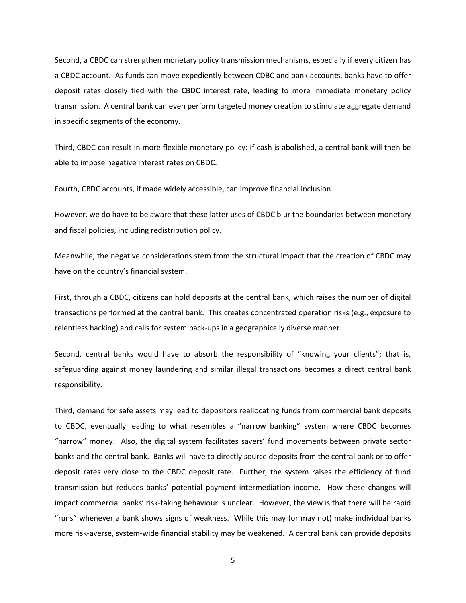Second, a CBDC can strengthen monetary policy transmission mechanisms, especially if every citizen has a CBDC account. As funds can move expediently between CDBC and bank accounts, banks have to offer deposit rates closely tied with the CBDC interest rate, leading to more immediate monetary policy transmission. A central bank can even perform targeted money creation to stimulate aggregate demand in specific segments of the economy.

Third, CBDC can result in more flexible monetary policy: if cash is abolished, a central bank will then be able to impose negative interest rates on CBDC.

Fourth, CBDC accounts, if made widely accessible, can improve financial inclusion.

However, we do have to be aware that these latter uses of CBDC blur the boundaries between monetary and fiscal policies, including redistribution policy.

Meanwhile, the negative considerations stem from the structural impact that the creation of CBDC may have on the country's financial system.

First, through a CBDC, citizens can hold deposits at the central bank, which raises the number of digital transactions performed at the central bank. This creates concentrated operation risks (e.g., exposure to relentless hacking) and calls for system back-ups in a geographically diverse manner.

Second, central banks would have to absorb the responsibility of "knowing your clients"; that is, safeguarding against money laundering and similar illegal transactions becomes a direct central bank responsibility.

Third, demand for safe assets may lead to depositors reallocating funds from commercial bank deposits to CBDC, eventually leading to what resembles a "narrow banking" system where CBDC becomes "narrow" money. Also, the digital system facilitates savers' fund movements between private sector banks and the central bank. Banks will have to directly source deposits from the central bank or to offer deposit rates very close to the CBDC deposit rate. Further, the system raises the efficiency of fund transmission but reduces banks' potential payment intermediation income. How these changes will impact commercial banks' risk-taking behaviour is unclear. However, the view is that there will be rapid "runs" whenever a bank shows signs of weakness. While this may (or may not) make individual banks more risk-averse, system-wide financial stability may be weakened. A central bank can provide deposits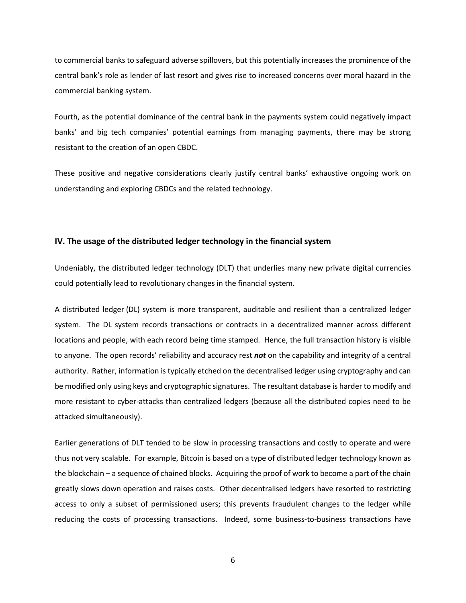to commercial banks to safeguard adverse spillovers, but this potentially increases the prominence of the central bank's role as lender of last resort and gives rise to increased concerns over moral hazard in the commercial banking system.

Fourth, as the potential dominance of the central bank in the payments system could negatively impact banks' and big tech companies' potential earnings from managing payments, there may be strong resistant to the creation of an open CBDC.

These positive and negative considerations clearly justify central banks' exhaustive ongoing work on understanding and exploring CBDCs and the related technology.

#### **IV. The usage of the distributed ledger technology in the financial system**

Undeniably, the distributed ledger technology (DLT) that underlies many new private digital currencies could potentially lead to revolutionary changes in the financial system.

A distributed ledger (DL) system is more transparent, auditable and resilient than a centralized ledger system. The DL system records transactions or contracts in a decentralized manner across different locations and people, with each record being time stamped. Hence, the full transaction history is visible to anyone. The open records' reliability and accuracy rest *not* on the capability and integrity of a central authority. Rather, information is typically etched on the decentralised ledger using cryptography and can be modified only using keys and cryptographic signatures. The resultant database is harder to modify and more resistant to cyber-attacks than centralized ledgers (because all the distributed copies need to be attacked simultaneously).

Earlier generations of DLT tended to be slow in processing transactions and costly to operate and were thus not very scalable. For example, Bitcoin is based on a type of distributed ledger technology known as the blockchain – a sequence of chained blocks. Acquiring the proof of work to become a part of the chain greatly slows down operation and raises costs. Other decentralised ledgers have resorted to restricting access to only a subset of permissioned users; this prevents fraudulent changes to the ledger while reducing the costs of processing transactions. Indeed, some business-to-business transactions have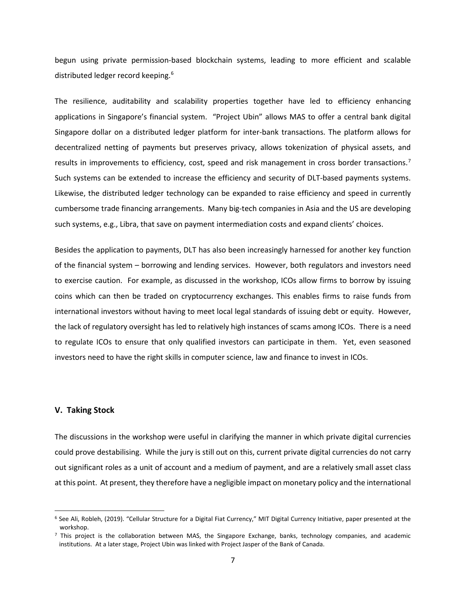begun using private permission-based blockchain systems, leading to more efficient and scalable distributed ledger record keeping.<sup>[6](#page-6-0)</sup>

The resilience, auditability and scalability properties together have led to efficiency enhancing applications in Singapore's financial system. "Project Ubin" allows MAS to offer a central bank digital Singapore dollar on a distributed ledger platform for inter-bank transactions. The platform allows for decentralized netting of payments but preserves privacy, allows tokenization of physical assets, and results in improvements to efficiency, cost, speed and risk management in cross border transactions.<sup>[7](#page-6-1)</sup> Such systems can be extended to increase the efficiency and security of DLT-based payments systems. Likewise, the distributed ledger technology can be expanded to raise efficiency and speed in currently cumbersome trade financing arrangements. Many big-tech companies in Asia and the US are developing such systems, e.g., Libra, that save on payment intermediation costs and expand clients' choices.

Besides the application to payments, DLT has also been increasingly harnessed for another key function of the financial system – borrowing and lending services. However, both regulators and investors need to exercise caution. For example, as discussed in the workshop, ICOs allow firms to borrow by issuing coins which can then be traded on cryptocurrency exchanges. This enables firms to raise funds from international investors without having to meet local legal standards of issuing debt or equity. However, the lack of regulatory oversight has led to relatively high instances of scams among ICOs. There is a need to regulate ICOs to ensure that only qualified investors can participate in them. Yet, even seasoned investors need to have the right skills in computer science, law and finance to invest in ICOs.

#### **V. Taking Stock**

The discussions in the workshop were useful in clarifying the manner in which private digital currencies could prove destabilising. While the jury is still out on this, current private digital currencies do not carry out significant roles as a unit of account and a medium of payment, and are a relatively small asset class at this point. At present, they therefore have a negligible impact on monetary policy and the international

<span id="page-6-0"></span> <sup>6</sup> See Ali, Robleh, (2019). "Cellular Structure for a Digital Fiat Currency," MIT Digital Currency Initiative, paper presented at the workshop.

<span id="page-6-1"></span> $<sup>7</sup>$  This project is the collaboration between MAS, the Singapore Exchange, banks, technology companies, and academic</sup> institutions. At a later stage, Project Ubin was linked with Project Jasper of the Bank of Canada.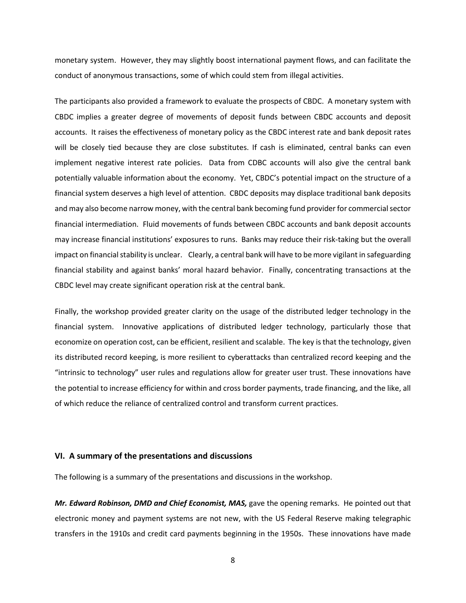monetary system. However, they may slightly boost international payment flows, and can facilitate the conduct of anonymous transactions, some of which could stem from illegal activities.

The participants also provided a framework to evaluate the prospects of CBDC. A monetary system with CBDC implies a greater degree of movements of deposit funds between CBDC accounts and deposit accounts. It raises the effectiveness of monetary policy as the CBDC interest rate and bank deposit rates will be closely tied because they are close substitutes. If cash is eliminated, central banks can even implement negative interest rate policies. Data from CDBC accounts will also give the central bank potentially valuable information about the economy. Yet, CBDC's potential impact on the structure of a financial system deserves a high level of attention. CBDC deposits may displace traditional bank deposits and may also become narrow money, with the central bank becoming fund provider for commercial sector financial intermediation. Fluid movements of funds between CBDC accounts and bank deposit accounts may increase financial institutions' exposures to runs. Banks may reduce their risk-taking but the overall impact on financial stability is unclear. Clearly, a central bank will have to be more vigilant in safeguarding financial stability and against banks' moral hazard behavior. Finally, concentrating transactions at the CBDC level may create significant operation risk at the central bank.

Finally, the workshop provided greater clarity on the usage of the distributed ledger technology in the financial system. Innovative applications of distributed ledger technology, particularly those that economize on operation cost, can be efficient, resilient and scalable. The key is that the technology, given its distributed record keeping, is more resilient to cyberattacks than centralized record keeping and the "intrinsic to technology" user rules and regulations allow for greater user trust. These innovations have the potential to increase efficiency for within and cross border payments, trade financing, and the like, all of which reduce the reliance of centralized control and transform current practices.

#### **VI. A summary of the presentations and discussions**

The following is a summary of the presentations and discussions in the workshop.

*Mr. Edward Robinson, DMD and Chief Economist, MAS,* gave the opening remarks. He pointed out that electronic money and payment systems are not new, with the US Federal Reserve making telegraphic transfers in the 1910s and credit card payments beginning in the 1950s. These innovations have made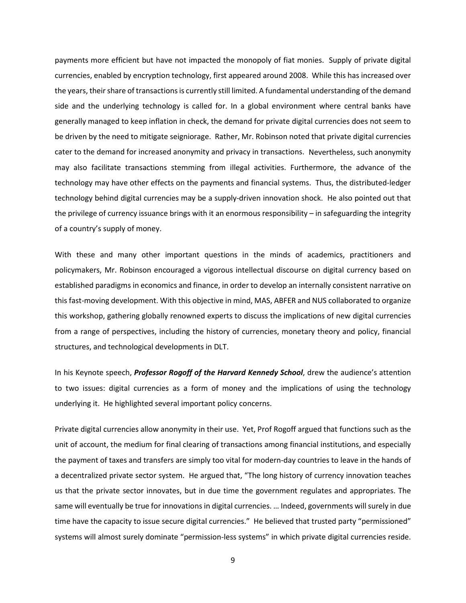payments more efficient but have not impacted the monopoly of fiat monies. Supply of private digital currencies, enabled by encryption technology, first appeared around 2008. While this has increased over the years, their share of transactions is currently still limited. A fundamental understanding of the demand side and the underlying technology is called for. In a global environment where central banks have generally managed to keep inflation in check, the demand for private digital currencies does not seem to be driven by the need to mitigate seigniorage. Rather, Mr. Robinson noted that private digital currencies cater to the demand for increased anonymity and privacy in transactions. Nevertheless, such anonymity may also facilitate transactions stemming from illegal activities. Furthermore, the advance of the technology may have other effects on the payments and financial systems. Thus, the distributed-ledger technology behind digital currencies may be a supply-driven innovation shock. He also pointed out that the privilege of currency issuance brings with it an enormous responsibility – in safeguarding the integrity of a country's supply of money.

With these and many other important questions in the minds of academics, practitioners and policymakers, Mr. Robinson encouraged a vigorous intellectual discourse on digital currency based on established paradigms in economics and finance, in order to develop an internally consistent narrative on this fast-moving development. With this objective in mind, MAS, ABFER and NUS collaborated to organize this workshop, gathering globally renowned experts to discuss the implications of new digital currencies from a range of perspectives, including the history of currencies, monetary theory and policy, financial structures, and technological developments in DLT.

In his Keynote speech, *Professor Rogoff of the Harvard Kennedy School*, drew the audience's attention to two issues: digital currencies as a form of money and the implications of using the technology underlying it. He highlighted several important policy concerns.

Private digital currencies allow anonymity in their use. Yet, Prof Rogoff argued that functions such as the unit of account, the medium for final clearing of transactions among financial institutions, and especially the payment of taxes and transfers are simply too vital for modern-day countries to leave in the hands of a decentralized private sector system. He argued that, "The long history of currency innovation teaches us that the private sector innovates, but in due time the government regulates and appropriates. The same will eventually be true for innovations in digital currencies. … Indeed, governments will surely in due time have the capacity to issue secure digital currencies." He believed that trusted party "permissioned" systems will almost surely dominate "permission-less systems" in which private digital currencies reside.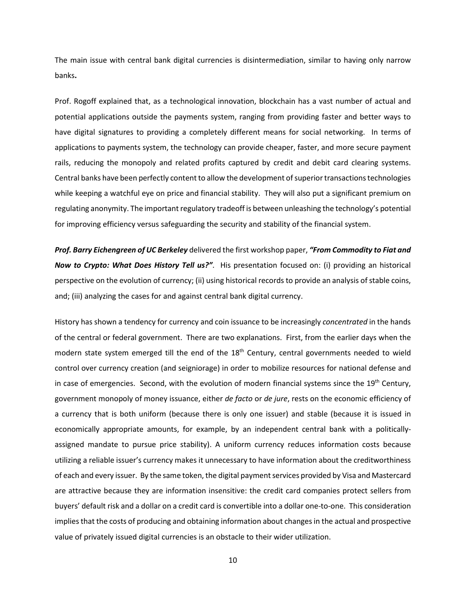The main issue with central bank digital currencies is disintermediation, similar to having only narrow banks**.**

Prof. Rogoff explained that, as a technological innovation, blockchain has a vast number of actual and potential applications outside the payments system, ranging from providing faster and better ways to have digital signatures to providing a completely different means for social networking. In terms of applications to payments system, the technology can provide cheaper, faster, and more secure payment rails, reducing the monopoly and related profits captured by credit and debit card clearing systems. Central banks have been perfectly content to allow the development of superior transactions technologies while keeping a watchful eye on price and financial stability. They will also put a significant premium on regulating anonymity. The important regulatory tradeoff is between unleashing the technology's potential for improving efficiency versus safeguarding the security and stability of the financial system.

*Prof. Barry Eichengreen of UC Berkeley* delivered the first workshop paper, *"From Commodity to Fiat and Now to Crypto: What Does History Tell us?"*. His presentation focused on: (i) providing an historical perspective on the evolution of currency; (ii) using historical records to provide an analysis of stable coins, and; (iii) analyzing the cases for and against central bank digital currency.

History has shown a tendency for currency and coin issuance to be increasingly *concentrated* in the hands of the central or federal government. There are two explanations. First, from the earlier days when the modern state system emerged till the end of the 18<sup>th</sup> Century, central governments needed to wield control over currency creation (and seigniorage) in order to mobilize resources for national defense and in case of emergencies. Second, with the evolution of modern financial systems since the 19<sup>th</sup> Century, government monopoly of money issuance, either *de facto* or *de jure*, rests on the economic efficiency of a currency that is both uniform (because there is only one issuer) and stable (because it is issued in economically appropriate amounts, for example, by an independent central bank with a politicallyassigned mandate to pursue price stability). A uniform currency reduces information costs because utilizing a reliable issuer's currency makes it unnecessary to have information about the creditworthiness of each and every issuer. By the same token, the digital payment services provided by Visa and Mastercard are attractive because they are information insensitive: the credit card companies protect sellers from buyers' default risk and a dollar on a credit card is convertible into a dollar one-to-one. This consideration implies that the costs of producing and obtaining information about changes in the actual and prospective value of privately issued digital currencies is an obstacle to their wider utilization.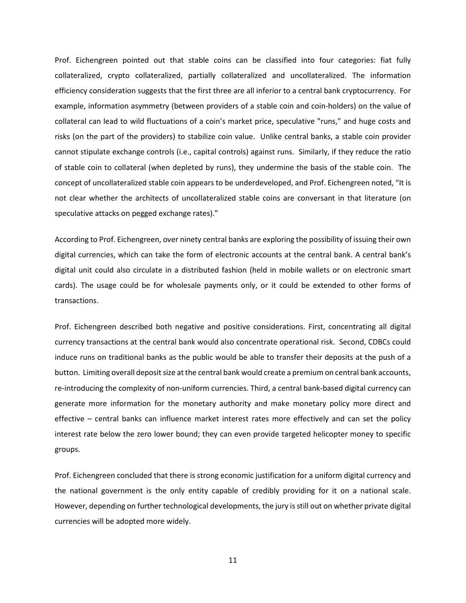Prof. Eichengreen pointed out that stable coins can be classified into four categories: fiat fully collateralized, crypto collateralized, partially collateralized and uncollateralized. The information efficiency consideration suggests that the first three are all inferior to a central bank cryptocurrency. For example, information asymmetry (between providers of a stable coin and coin-holders) on the value of collateral can lead to wild fluctuations of a coin's market price, speculative "runs," and huge costs and risks (on the part of the providers) to stabilize coin value. Unlike central banks, a stable coin provider cannot stipulate exchange controls (i.e., capital controls) against runs. Similarly, if they reduce the ratio of stable coin to collateral (when depleted by runs), they undermine the basis of the stable coin. The concept of uncollateralized stable coin appears to be underdeveloped, and Prof. Eichengreen noted, "It is not clear whether the architects of uncollateralized stable coins are conversant in that literature (on speculative attacks on pegged exchange rates)."

According to Prof. Eichengreen, over ninety central banks are exploring the possibility of issuing their own digital currencies, which can take the form of electronic accounts at the central bank. A central bank's digital unit could also circulate in a distributed fashion (held in mobile wallets or on electronic smart cards). The usage could be for wholesale payments only, or it could be extended to other forms of transactions.

Prof. Eichengreen described both negative and positive considerations. First, concentrating all digital currency transactions at the central bank would also concentrate operational risk. Second, CDBCs could induce runs on traditional banks as the public would be able to transfer their deposits at the push of a button. Limiting overall deposit size at the central bank would create a premium on central bank accounts, re-introducing the complexity of non-uniform currencies. Third, a central bank-based digital currency can generate more information for the monetary authority and make monetary policy more direct and effective – central banks can influence market interest rates more effectively and can set the policy interest rate below the zero lower bound; they can even provide targeted helicopter money to specific groups.

Prof. Eichengreen concluded that there is strong economic justification for a uniform digital currency and the national government is the only entity capable of credibly providing for it on a national scale. However, depending on further technological developments, the jury is still out on whether private digital currencies will be adopted more widely.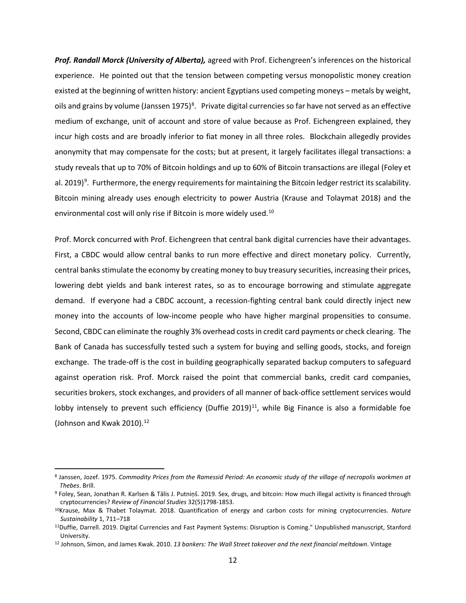*Prof. Randall Morck (University of Alberta),* agreed with Prof. Eichengreen's inferences on the historical experience. He pointed out that the tension between competing versus monopolistic money creation existed at the beginning of written history: ancient Egyptians used competing moneys – metals by weight, oils and grains by volume (Janssen 1975)<sup>[8](#page-11-0)</sup>. Private digital currencies so far have not served as an effective medium of exchange, unit of account and store of value because as Prof. Eichengreen explained, they incur high costs and are broadly inferior to fiat money in all three roles. Blockchain allegedly provides anonymity that may compensate for the costs; but at present, it largely facilitates illegal transactions: a study reveals that up to 70% of Bitcoin holdings and up to 60% of Bitcoin transactions are illegal (Foley et al. 201[9](#page-11-1))<sup>9</sup>. Furthermore, the energy requirements for maintaining the Bitcoin ledger restrict its scalability. Bitcoin mining already uses enough electricity to power Austria (Krause and Tolaymat 2018) and the environmental cost will only rise if Bitcoin is more widely used.<sup>[10](#page-11-2)</sup>

Prof. Morck concurred with Prof. Eichengreen that central bank digital currencies have their advantages. First, a CBDC would allow central banks to run more effective and direct monetary policy. Currently, central banks stimulate the economy by creating money to buy treasury securities, increasing their prices, lowering debt yields and bank interest rates, so as to encourage borrowing and stimulate aggregate demand. If everyone had a CBDC account, a recession-fighting central bank could directly inject new money into the accounts of low-income people who have higher marginal propensities to consume. Second, CBDC can eliminate the roughly 3% overhead costs in credit card payments or check clearing. The Bank of Canada has successfully tested such a system for buying and selling goods, stocks, and foreign exchange. The trade-off is the cost in building geographically separated backup computers to safeguard against operation risk. Prof. Morck raised the point that commercial banks, credit card companies, securities brokers, stock exchanges, and providers of all manner of back-office settlement services would lobby intensely to prevent such efficiency (Duffie 2019) $<sup>11</sup>$ , while Big Finance is also a formidable foe</sup> (Johnson and Kwak 2010). $12$ 

<span id="page-11-0"></span> <sup>8</sup> Janssen, Jozef. 1975. *Commodity Prices from the Ramessid Period: An economic study of the village of necropolis workmen at Thebes*. Brill.

<span id="page-11-1"></span><sup>9</sup> Foley, Sean, Jonathan R. Karlsen & Tālis J. Putniņš. 2019. Sex, drugs, and bitcoin: How much illegal activity is financed through cryptocurrencies? *Review of Financial Studies* 32(5)1798-1853.

<span id="page-11-2"></span><sup>10</sup>Krause, Max & Thabet Tolaymat. 2018. Quantification of energy and carbon costs for mining cryptocurrencies. *Nature Sustainability* 1, 711–718

<span id="page-11-3"></span><sup>11</sup>Duffie, Darrell. 2019. Digital Currencies and Fast Payment Systems: Disruption is Coming." Unpublished manuscript, Stanford University.

<span id="page-11-4"></span><sup>12</sup> Johnson, Simon, and James Kwak. 2010. *13 bankers: The Wall Street takeover and the next financial meltdown*. Vintage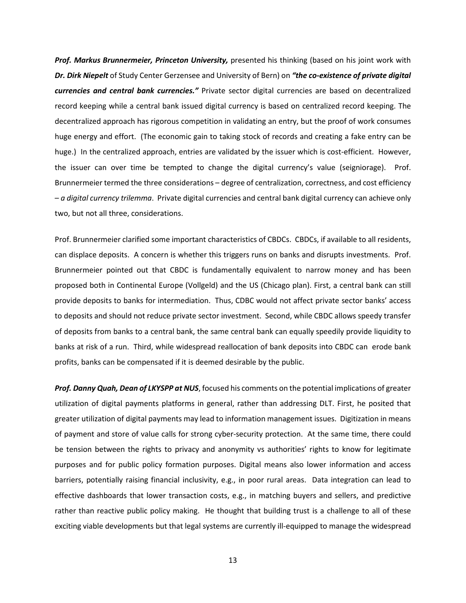*Prof. Markus Brunnermeier, Princeton University,* presented his thinking (based on his joint work with *Dr. Dirk Niepelt* of Study Center Gerzensee and University of Bern) on *"the co-existence of private digital currencies and central bank currencies."* Private sector digital currencies are based on decentralized record keeping while a central bank issued digital currency is based on centralized record keeping. The decentralized approach has rigorous competition in validating an entry, but the proof of work consumes huge energy and effort. (The economic gain to taking stock of records and creating a fake entry can be huge.) In the centralized approach, entries are validated by the issuer which is cost-efficient. However, the issuer can over time be tempted to change the digital currency's value (seigniorage). Prof. Brunnermeier termed the three considerations – degree of centralization, correctness, and cost efficiency – *a digital currency trilemma*. Private digital currencies and central bank digital currency can achieve only two, but not all three, considerations.

Prof. Brunnermeier clarified some important characteristics of CBDCs. CBDCs, if available to all residents, can displace deposits. A concern is whether this triggers runs on banks and disrupts investments. Prof. Brunnermeier pointed out that CBDC is fundamentally equivalent to narrow money and has been proposed both in Continental Europe (Vollgeld) and the US (Chicago plan). First, a central bank can still provide deposits to banks for intermediation. Thus, CDBC would not affect private sector banks' access to deposits and should not reduce private sector investment. Second, while CBDC allows speedy transfer of deposits from banks to a central bank, the same central bank can equally speedily provide liquidity to banks at risk of a run. Third, while widespread reallocation of bank deposits into CBDC can erode bank profits, banks can be compensated if it is deemed desirable by the public.

*Prof. Danny Quah, Dean of LKYSPP at NUS*, focused his comments on the potential implications of greater utilization of digital payments platforms in general, rather than addressing DLT. First, he posited that greater utilization of digital payments may lead to information management issues. Digitization in means of payment and store of value calls for strong cyber-security protection. At the same time, there could be tension between the rights to privacy and anonymity vs authorities' rights to know for legitimate purposes and for public policy formation purposes. Digital means also lower information and access barriers, potentially raising financial inclusivity, e.g., in poor rural areas. Data integration can lead to effective dashboards that lower transaction costs, e.g., in matching buyers and sellers, and predictive rather than reactive public policy making. He thought that building trust is a challenge to all of these exciting viable developments but that legal systems are currently ill-equipped to manage the widespread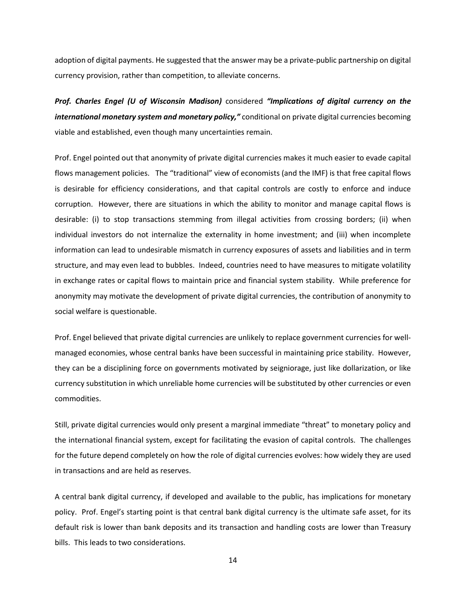adoption of digital payments. He suggested that the answer may be a private-public partnership on digital currency provision, rather than competition, to alleviate concerns.

*Prof. Charles Engel (U of Wisconsin Madison)* considered *"Implications of digital currency on the international monetary system and monetary policy,"* conditional on private digital currencies becoming viable and established, even though many uncertainties remain.

Prof. Engel pointed out that anonymity of private digital currencies makes it much easier to evade capital flows management policies. The "traditional" view of economists (and the IMF) is that free capital flows is desirable for efficiency considerations, and that capital controls are costly to enforce and induce corruption. However, there are situations in which the ability to monitor and manage capital flows is desirable: (i) to stop transactions stemming from illegal activities from crossing borders; (ii) when individual investors do not internalize the externality in home investment; and (iii) when incomplete information can lead to undesirable mismatch in currency exposures of assets and liabilities and in term structure, and may even lead to bubbles. Indeed, countries need to have measures to mitigate volatility in exchange rates or capital flows to maintain price and financial system stability. While preference for anonymity may motivate the development of private digital currencies, the contribution of anonymity to social welfare is questionable.

Prof. Engel believed that private digital currencies are unlikely to replace government currencies for wellmanaged economies, whose central banks have been successful in maintaining price stability. However, they can be a disciplining force on governments motivated by seigniorage, just like dollarization, or like currency substitution in which unreliable home currencies will be substituted by other currencies or even commodities.

Still, private digital currencies would only present a marginal immediate "threat" to monetary policy and the international financial system, except for facilitating the evasion of capital controls. The challenges for the future depend completely on how the role of digital currencies evolves: how widely they are used in transactions and are held as reserves.

A central bank digital currency, if developed and available to the public, has implications for monetary policy. Prof. Engel's starting point is that central bank digital currency is the ultimate safe asset, for its default risk is lower than bank deposits and its transaction and handling costs are lower than Treasury bills. This leads to two considerations.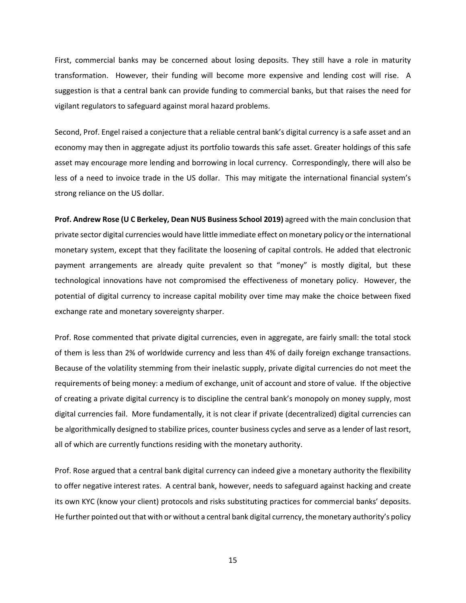First, commercial banks may be concerned about losing deposits. They still have a role in maturity transformation. However, their funding will become more expensive and lending cost will rise. A suggestion is that a central bank can provide funding to commercial banks, but that raises the need for vigilant regulators to safeguard against moral hazard problems.

Second, Prof. Engel raised a conjecture that a reliable central bank's digital currency is a safe asset and an economy may then in aggregate adjust its portfolio towards this safe asset. Greater holdings of this safe asset may encourage more lending and borrowing in local currency. Correspondingly, there will also be less of a need to invoice trade in the US dollar. This may mitigate the international financial system's strong reliance on the US dollar.

**Prof. Andrew Rose (U C Berkeley, Dean NUS Business School 2019)** agreed with the main conclusion that private sector digital currencies would have little immediate effect on monetary policy or the international monetary system, except that they facilitate the loosening of capital controls. He added that electronic payment arrangements are already quite prevalent so that "money" is mostly digital, but these technological innovations have not compromised the effectiveness of monetary policy. However, the potential of digital currency to increase capital mobility over time may make the choice between fixed exchange rate and monetary sovereignty sharper.

Prof. Rose commented that private digital currencies, even in aggregate, are fairly small: the total stock of them is less than 2% of worldwide currency and less than 4% of daily foreign exchange transactions. Because of the volatility stemming from their inelastic supply, private digital currencies do not meet the requirements of being money: a medium of exchange, unit of account and store of value. If the objective of creating a private digital currency is to discipline the central bank's monopoly on money supply, most digital currencies fail. More fundamentally, it is not clear if private (decentralized) digital currencies can be algorithmically designed to stabilize prices, counter business cycles and serve as a lender of last resort, all of which are currently functions residing with the monetary authority.

Prof. Rose argued that a central bank digital currency can indeed give a monetary authority the flexibility to offer negative interest rates. A central bank, however, needs to safeguard against hacking and create its own KYC (know your client) protocols and risks substituting practices for commercial banks' deposits. He further pointed out that with or without a central bank digital currency, the monetary authority's policy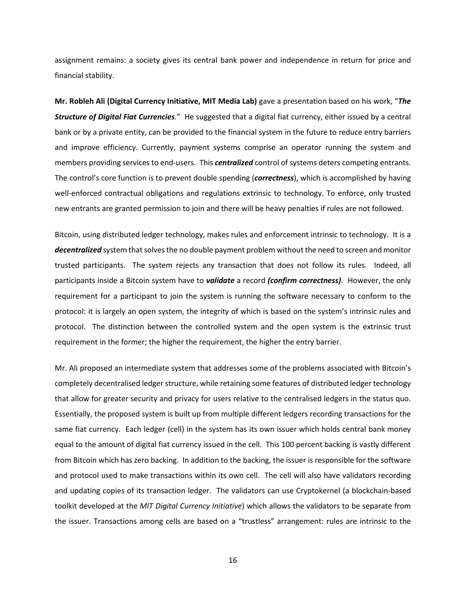assignment remains: a society gives its central bank power and independence in return for price and financial stability.

**Mr. Robleh Ali (Digital Currency Initiative, MIT Media Lab)** gave a presentation based on his work, "*The Structure of Digital Fiat Currencies.*" He suggested that a digital fiat currency, either issued by a central bank or by a private entity, can be provided to the financial system in the future to reduce entry barriers and improve efficiency. Currently, payment systems comprise an operator running the system and members providing services to end-users. This *centralized* control of systems deters competing entrants. The control's core function is to prevent double spending (*correctness*), which is accomplished by having well-enforced contractual obligations and regulations extrinsic to technology. To enforce, only trusted new entrants are granted permission to join and there will be heavy penalties if rules are not followed.

Bitcoin, using distributed ledger technology, makes rules and enforcement intrinsic to technology. It is a *decentralized* system that solves the no double payment problem without the need to screen and monitor trusted participants. The system rejects any transaction that does not follow its rules. Indeed, all participants inside a Bitcoin system have to *validate* a record *(confirm correctness)*. However, the only requirement for a participant to join the system is running the software necessary to conform to the protocol: it is largely an open system, the integrity of which is based on the system's intrinsic rules and protocol. The distinction between the controlled system and the open system is the extrinsic trust requirement in the former; the higher the requirement, the higher the entry barrier.

Mr. Ali proposed an intermediate system that addresses some of the problems associated with Bitcoin's completely decentralised ledger structure, while retaining some features of distributed ledger technology that allow for greater security and privacy for users relative to the centralised ledgers in the status quo. Essentially, the proposed system is built up from multiple different ledgers recording transactions for the same fiat currency. Each ledger (cell) in the system has its own issuer which holds central bank money equal to the amount of digital fiat currency issued in the cell. This 100 percent backing is vastly different from Bitcoin which has zero backing. In addition to the backing, the issuer is responsible for the software and protocol used to make transactions within its own cell. The cell will also have validators recording and updating copies of its transaction ledger. The validators can use Cryptokernel (a blockchain-based toolkit developed at the *MIT Digital Currency Initiative*) which allows the validators to be separate from the issuer. Transactions among cells are based on a "trustless" arrangement: rules are intrinsic to the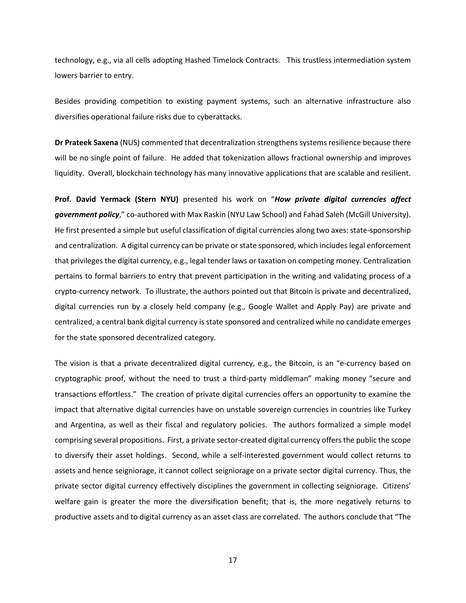technology, e.g., via all cells adopting Hashed Timelock Contracts. This trustless intermediation system lowers barrier to entry.

Besides providing competition to existing payment systems, such an alternative infrastructure also diversifies operational failure risks due to cyberattacks.

**Dr Prateek Saxena** (NUS) commented that decentralization strengthens systems resilience because there will be no single point of failure. He added that tokenization allows fractional ownership and improves liquidity. Overall, blockchain technology has many innovative applications that are scalable and resilient.

**Prof. David Yermack (Stern NYU)** presented his work on "*How private digital currencies affect government policy*," co-authored with Max Raskin (NYU Law School) and Fahad Saleh (McGill University). He first presented a simple but useful classification of digital currencies along two axes: state-sponsorship and centralization. A digital currency can be private orstate sponsored, which includes legal enforcement that privileges the digital currency, e.g., legal tender laws or taxation on competing money. Centralization pertains to formal barriers to entry that prevent participation in the writing and validating process of a crypto-currency network. To illustrate, the authors pointed out that Bitcoin is private and decentralized, digital currencies run by a closely held company (e.g., Google Wallet and Apply Pay) are private and centralized, a central bank digital currency is state sponsored and centralized while no candidate emerges for the state sponsored decentralized category.

The vision is that a private decentralized digital currency, e.g., the Bitcoin, is an "e-currency based on cryptographic proof, without the need to trust a third-party middleman" making money "secure and transactions effortless." The creation of private digital currencies offers an opportunity to examine the impact that alternative digital currencies have on unstable sovereign currencies in countries like Turkey and Argentina, as well as their fiscal and regulatory policies. The authors formalized a simple model comprising several propositions. First, a private sector-created digital currency offers the public the scope to diversify their asset holdings. Second, while a self-interested government would collect returns to assets and hence seigniorage, it cannot collect seigniorage on a private sector digital currency. Thus, the private sector digital currency effectively disciplines the government in collecting seigniorage. Citizens' welfare gain is greater the more the diversification benefit; that is, the more negatively returns to productive assets and to digital currency as an asset class are correlated. The authors conclude that "The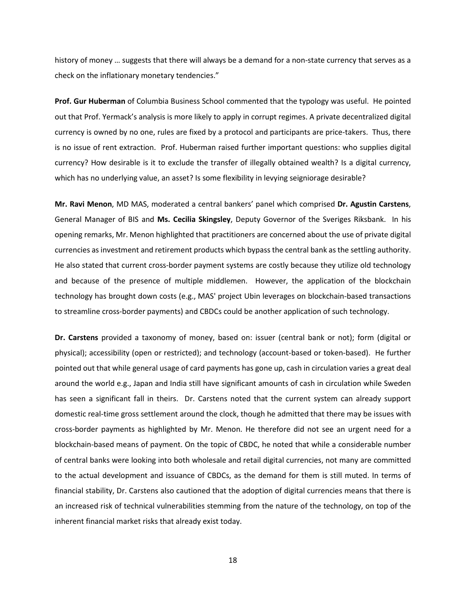history of money … suggests that there will always be a demand for a non-state currency that serves as a check on the inflationary monetary tendencies."

**Prof. Gur Huberman** of Columbia Business School commented that the typology was useful. He pointed out that Prof. Yermack's analysis is more likely to apply in corrupt regimes. A private decentralized digital currency is owned by no one, rules are fixed by a protocol and participants are price-takers. Thus, there is no issue of rent extraction. Prof. Huberman raised further important questions: who supplies digital currency? How desirable is it to exclude the transfer of illegally obtained wealth? Is a digital currency, which has no underlying value, an asset? Is some flexibility in levying seigniorage desirable?

**Mr. Ravi Menon**, MD MAS, moderated a central bankers' panel which comprised **Dr. Agustin Carstens**, General Manager of BIS and **Ms. Cecilia Skingsley**, Deputy Governor of the Sveriges Riksbank. In his opening remarks, Mr. Menon highlighted that practitioners are concerned about the use of private digital currencies as investment and retirement products which bypass the central bank as the settling authority. He also stated that current cross-border payment systems are costly because they utilize old technology and because of the presence of multiple middlemen. However, the application of the blockchain technology has brought down costs (e.g., MAS' project Ubin leverages on blockchain-based transactions to streamline cross-border payments) and CBDCs could be another application of such technology.

**Dr. Carstens** provided a taxonomy of money, based on: issuer (central bank or not); form (digital or physical); accessibility (open or restricted); and technology (account-based or token-based). He further pointed out that while general usage of card payments has gone up, cash in circulation varies a great deal around the world e.g., Japan and India still have significant amounts of cash in circulation while Sweden has seen a significant fall in theirs. Dr. Carstens noted that the current system can already support domestic real-time gross settlement around the clock, though he admitted that there may be issues with cross-border payments as highlighted by Mr. Menon. He therefore did not see an urgent need for a blockchain-based means of payment. On the topic of CBDC, he noted that while a considerable number of central banks were looking into both wholesale and retail digital currencies, not many are committed to the actual development and issuance of CBDCs, as the demand for them is still muted. In terms of financial stability, Dr. Carstens also cautioned that the adoption of digital currencies means that there is an increased risk of technical vulnerabilities stemming from the nature of the technology, on top of the inherent financial market risks that already exist today.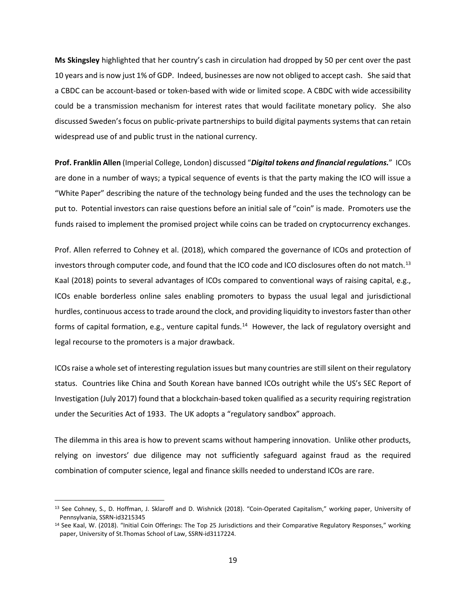**Ms Skingsley** highlighted that her country's cash in circulation had dropped by 50 per cent over the past 10 years and is now just 1% of GDP. Indeed, businesses are now not obliged to accept cash. She said that a CBDC can be account-based or token-based with wide or limited scope. A CBDC with wide accessibility could be a transmission mechanism for interest rates that would facilitate monetary policy. She also discussed Sweden's focus on public-private partnerships to build digital payments systems that can retain widespread use of and public trust in the national currency.

**Prof. Franklin Allen** (Imperial College, London) discussed "*Digital tokens and financial regulations.*" ICOs are done in a number of ways; a typical sequence of events is that the party making the ICO will issue a "White Paper" describing the nature of the technology being funded and the uses the technology can be put to. Potential investors can raise questions before an initial sale of "coin" is made. Promoters use the funds raised to implement the promised project while coins can be traded on cryptocurrency exchanges.

Prof. Allen referred to Cohney et al. (2018), which compared the governance of ICOs and protection of investors through computer code, and found that the ICO code and ICO disclosures often do not match.<sup>[13](#page-18-0)</sup> Kaal (2018) points to several advantages of ICOs compared to conventional ways of raising capital, e.g., ICOs enable borderless online sales enabling promoters to bypass the usual legal and jurisdictional hurdles, continuous access to trade around the clock, and providing liquidity to investors faster than other forms of capital formation, e.g., venture capital funds.<sup>[14](#page-18-1)</sup> However, the lack of regulatory oversight and legal recourse to the promoters is a major drawback.

ICOs raise a whole set of interesting regulation issues but many countries are still silent on their regulatory status. Countries like China and South Korean have banned ICOs outright while the US's SEC Report of Investigation (July 2017) found that a blockchain-based token qualified as a security requiring registration under the Securities Act of 1933. The UK adopts a "regulatory sandbox" approach.

The dilemma in this area is how to prevent scams without hampering innovation. Unlike other products, relying on investors' due diligence may not sufficiently safeguard against fraud as the required combination of computer science, legal and finance skills needed to understand ICOs are rare.

<span id="page-18-0"></span> <sup>13</sup> See Cohney, S., D. Hoffman, J. Sklaroff and D. Wishnick (2018). "Coin-Operated Capitalism," working paper, University of Pennsylvania, SSRN-id3215345

<span id="page-18-1"></span><sup>&</sup>lt;sup>14</sup> See Kaal, W. (2018). "Initial Coin Offerings: The Top 25 Jurisdictions and their Comparative Regulatory Responses," working paper, University of St.Thomas School of Law, SSRN-id3117224.